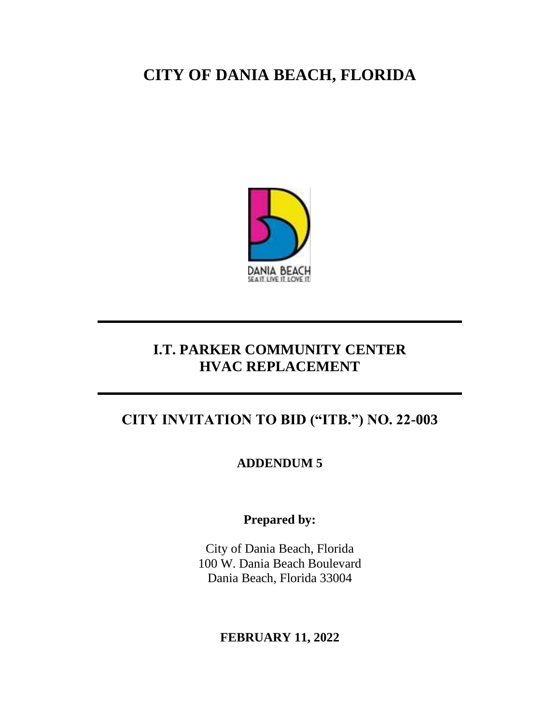# **CITY OF DANIA BEACH, FLORIDA**



## **I.T. PARKER COMMUNITY CENTER HVAC REPLACEMENT**

## **CITY INVITATION TO BID ("ITB.") NO. 22-003**

**ADDENDUM 5**

**Prepared by:**

City of Dania Beach, Florida 100 W. Dania Beach Boulevard Dania Beach, Florida 33004

### **FEBRUARY 11, 2022**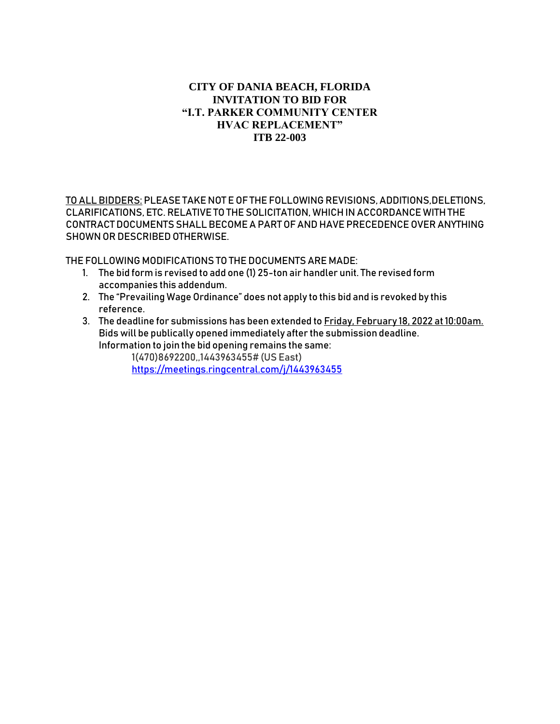#### **CITY OF DANIA BEACH, FLORIDA INVITATION TO BID FOR "I.T. PARKER COMMUNITY CENTER HVAC REPLACEMENT" ITB 22-003**

TO ALL BIDDERS: PLEASE TAKE NOT E OF THE FOLLOWING REVISIONS, ADDITIONS, DELETIONS, CLARIFICATIONS, ETC. RELATIVE TO THE SOLICITATION, WHICH IN ACCORDANCE WITH THE CONTRACT DOCUMENTS SHALL BECOME A PART OF AND HAVE PRECEDENCE OVER ANYTHING SHOWN OR DESCRIBED OTHERWISE.

THE FOLLOWING MODIFICATIONS TO THE DOCUMENTS ARE MADE:

- 1. The bid form is revised to add one (1) 25-ton air handler unit. The revised form accompanies this addendum.
- 2. The "Prevailing Wage Ordinance" does not apply to this bid and is revoked by this reference.
- 3. The deadline for submissions has been extended to Friday, February 18, 2022 at 10:00am. Bids will be publically opened immediately after the submission deadline. Information to join the bid opening remains the same:

1(470)8692200,,1443963455# (US East) <https://meetings.ringcentral.com/j/1443963455>